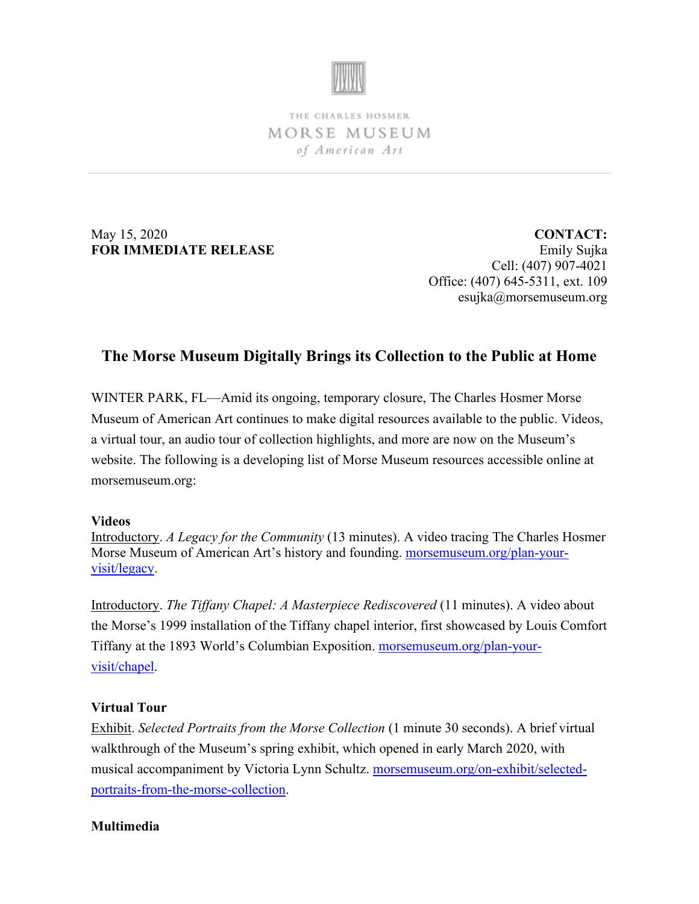

THE CHARLES HOSMER MORSE MUSEUM of American Art

May 15, 2020 **FOR IMMEDIATE RELEASE**

**CONTACT:** Emily Sujka Cell: (407) 907-4021 Office: (407) 645-5311, ext. 109 esujka@morsemuseum.org

## **The Morse Museum Digitally Brings its Collection to the Public at Home**

WINTER PARK, FL—Amid its ongoing, temporary closure, The Charles Hosmer Morse Museum of American Art continues to make digital resources available to the public. Videos, a virtual tour, an audio tour of collection highlights, and more are now on the Museum's website. The following is a developing list of Morse Museum resources accessible online at morsemuseum.org:

## **Videos**

Introductory. *A Legacy for the Community* (13 minutes). A video tracing The Charles Hosmer Morse Museum of American Art's history and founding. [morsemuseum.org/plan-your](http://www.morsemuseum.org/plan-your-visit/legacy)[visit/legacy.](http://www.morsemuseum.org/plan-your-visit/legacy)

Introductory. *The Tiffany Chapel: A Masterpiece Rediscovered* (11 minutes). A video about the Morse's 1999 installation of the Tiffany chapel interior, first showcased by Louis Comfort Tiffany at the 1893 World's Columbian Exposition. [morsemuseum.org/plan-your](http://www.morsemuseum.org/plan-your-visit/chapel)[visit/chapel.](http://www.morsemuseum.org/plan-your-visit/chapel)

## **Virtual Tour**

Exhibit. *Selected Portraits from the Morse Collection* (1 minute 30 seconds). A brief virtual walkthrough of the Museum's spring exhibit, which opened in early March 2020, with musical accompaniment by Victoria Lynn Schultz. [morsemuseum.org/on-exhibit/selected](http://www.morsemuseum.org/on-exhibit/selected-portraits-from-the-morse-collection)[portraits-from-the-morse-collection.](http://www.morsemuseum.org/on-exhibit/selected-portraits-from-the-morse-collection)

## **Multimedia**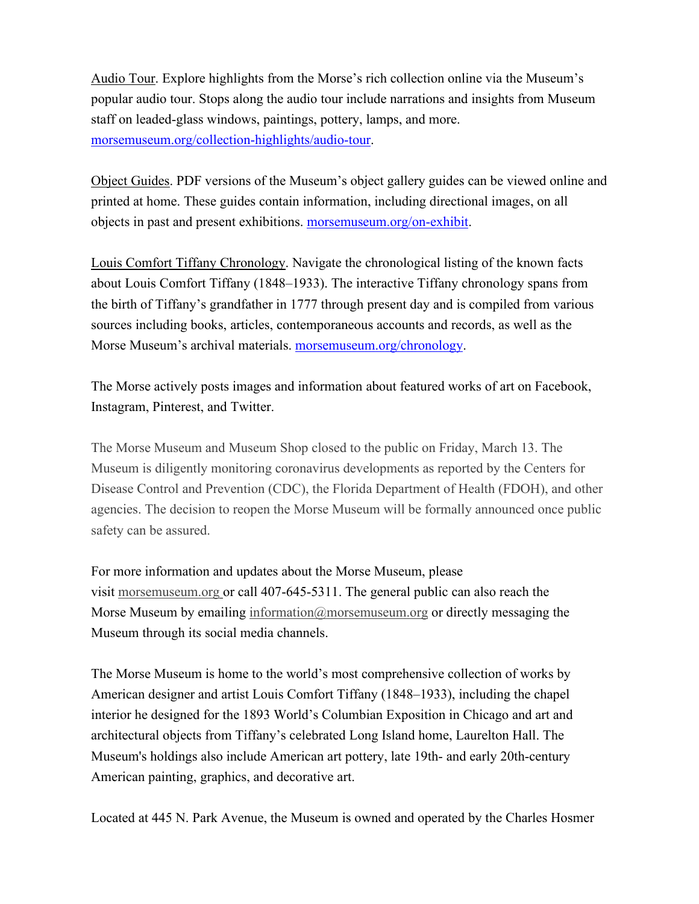Audio Tour. Explore highlights from the Morse's rich collection online via the Museum's popular audio tour. Stops along the audio tour include narrations and insights from Museum staff on leaded-glass windows, paintings, pottery, lamps, and more. [morsemuseum.org/collection-highlights/audio-tour.](http://www.morsemuseum.org/collection-highlights/audio-tour)

Object Guides. PDF versions of the Museum's object gallery guides can be viewed online and printed at home. These guides contain information, including directional images, on all objects in past and present exhibitions. [morsemuseum.org/on-exhibit.](http://www.morsemuseum.org/on-exhibit)

Louis Comfort Tiffany Chronology. Navigate the chronological listing of the known facts about Louis Comfort Tiffany (1848–1933). The interactive Tiffany chronology spans from the birth of Tiffany's grandfather in 1777 through present day and is compiled from various sources including books, articles, contemporaneous accounts and records, as well as the Morse Museum's archival materials. [morsemuseum.org/chronology.](http://www.morsemuseum.org/chronology)

The Morse actively posts images and information about featured works of art on Facebook, Instagram, Pinterest, and Twitter.

The Morse Museum and Museum Shop closed to the public on Friday, March 13. The Museum is diligently monitoring coronavirus developments as reported by the Centers for Disease Control and Prevention (CDC), the Florida Department of Health (FDOH), and other agencies. The decision to reopen the Morse Museum will be formally announced once public safety can be assured.

For more information and updates about the Morse Museum, please visit [morsemuseum.org](http://www.morsemuseum.org/) or call 407-645-5311. The general public can also reach the Morse Museum by emailing [information@morsemuseum.org](mailto:information@morsemuseum.org) or directly messaging the Museum through its social media channels.

The Morse Museum is home to the world's most comprehensive collection of works by American designer and artist Louis Comfort Tiffany (1848–1933), including the chapel interior he designed for the 1893 World's Columbian Exposition in Chicago and art and architectural objects from Tiffany's celebrated Long Island home, Laurelton Hall. The Museum's holdings also include American art pottery, late 19th- and early 20th-century American painting, graphics, and decorative art.

Located at 445 N. Park Avenue, the Museum is owned and operated by the Charles Hosmer